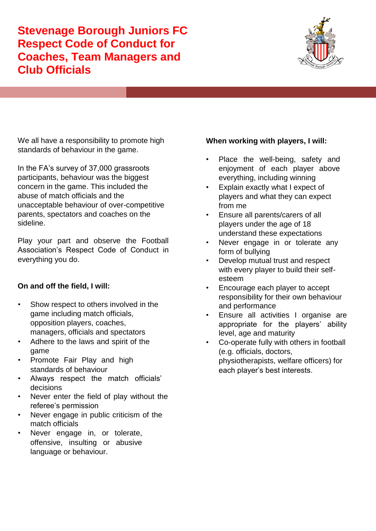**Stevenage Borough Juniors FC Respect Code of Conduct for Coaches, Team Managers and Club Officials**



We all have a responsibility to promote high standards of behaviour in the game.

In the FA's survey of 37,000 grassroots participants, behaviour was the biggest concern in the game. This included the abuse of match officials and the unacceptable behaviour of over-competitive parents, spectators and coaches on the sideline.

Play your part and observe the Football Association's Respect Code of Conduct in everything you do.

## **On and off the field, I will:**

- Show respect to others involved in the game including match officials, opposition players, coaches, managers, officials and spectators
- Adhere to the laws and spirit of the game
- Promote Fair Play and high standards of behaviour
- Always respect the match officials' decisions
- Never enter the field of play without the referee's permission
- Never engage in public criticism of the match officials
- Never engage in, or tolerate, offensive, insulting or abusive language or behaviour.

## **When working with players, I will:**

- Place the well-being, safety and enjoyment of each player above everything, including winning
- Explain exactly what I expect of players and what they can expect from me
- Ensure all parents/carers of all players under the age of 18 understand these expectations
- Never engage in or tolerate any form of bullying
- Develop mutual trust and respect with every player to build their selfesteem
- Encourage each player to accept responsibility for their own behaviour and performance
- Ensure all activities I organise are appropriate for the players' ability level, age and maturity
- Co-operate fully with others in football (e.g. officials, doctors, physiotherapists, welfare officers) for each player's best interests.